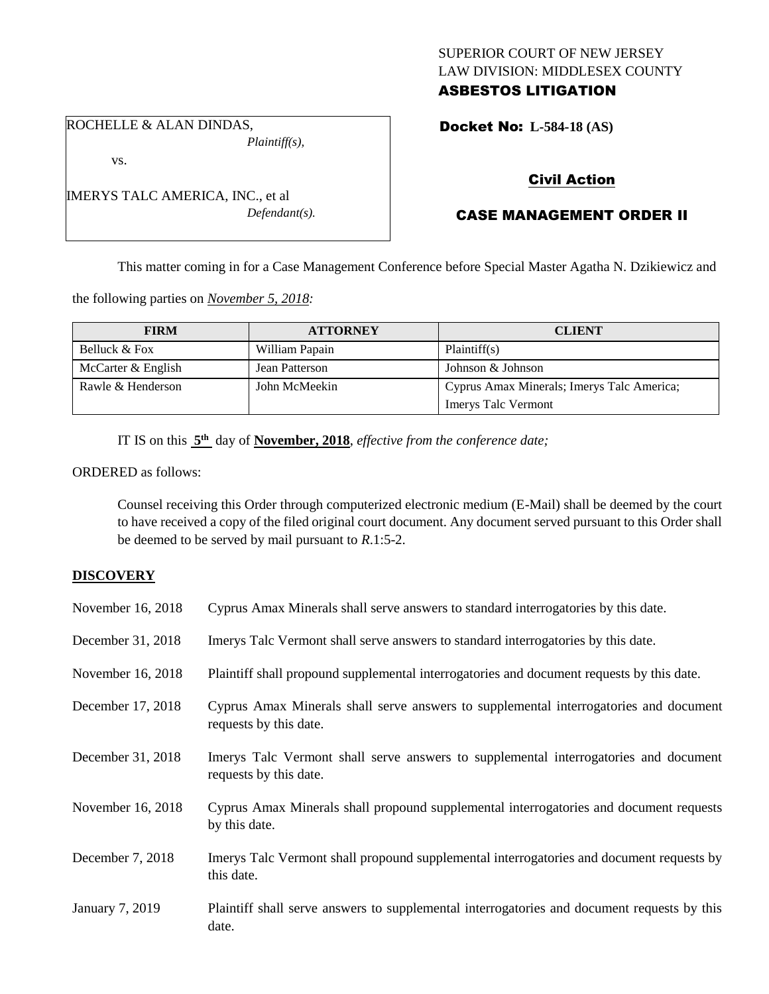## SUPERIOR COURT OF NEW JERSEY LAW DIVISION: MIDDLESEX COUNTY ASBESTOS LITIGATION

ROCHELLE & ALAN DINDAS, *Plaintiff(s),*

vs.

IMERYS TALC AMERICA, INC., et al *Defendant(s).*

# Docket No: **L-584-18 (AS)**

# Civil Action

# CASE MANAGEMENT ORDER II

This matter coming in for a Case Management Conference before Special Master Agatha N. Dzikiewicz and

the following parties on *November 5, 2018:*

| <b>FIRM</b>        | <b>ATTORNEY</b> | <b>CLIENT</b>                              |
|--------------------|-----------------|--------------------------------------------|
| Belluck & Fox      | William Papain  | Plaintiff(s)                               |
| McCarter & English | Jean Patterson  | Johnson & Johnson                          |
| Rawle & Henderson  | John McMeekin   | Cyprus Amax Minerals; Imerys Talc America; |
|                    |                 | <b>Imerys Talc Vermont</b>                 |

IT IS on this  $5<sup>th</sup>$  day of **November, 2018**, *effective from the conference date*;

ORDERED as follows:

Counsel receiving this Order through computerized electronic medium (E-Mail) shall be deemed by the court to have received a copy of the filed original court document. Any document served pursuant to this Order shall be deemed to be served by mail pursuant to *R*.1:5-2.

## **DISCOVERY**

| November 16, 2018 | Cyprus Amax Minerals shall serve answers to standard interrogatories by this date.                              |
|-------------------|-----------------------------------------------------------------------------------------------------------------|
| December 31, 2018 | Imerys Talc Vermont shall serve answers to standard interrogatories by this date.                               |
| November 16, 2018 | Plaintiff shall propound supplemental interrogatories and document requests by this date.                       |
| December 17, 2018 | Cyprus Amax Minerals shall serve answers to supplemental interrogatories and document<br>requests by this date. |
| December 31, 2018 | Imerys Talc Vermont shall serve answers to supplemental interrogatories and document<br>requests by this date.  |
| November 16, 2018 | Cyprus Amax Minerals shall propound supplemental interrogatories and document requests<br>by this date.         |
| December 7, 2018  | Imerys Talc Vermont shall propound supplemental interrogatories and document requests by<br>this date.          |
| January 7, 2019   | Plaintiff shall serve answers to supplemental interrogatories and document requests by this<br>date.            |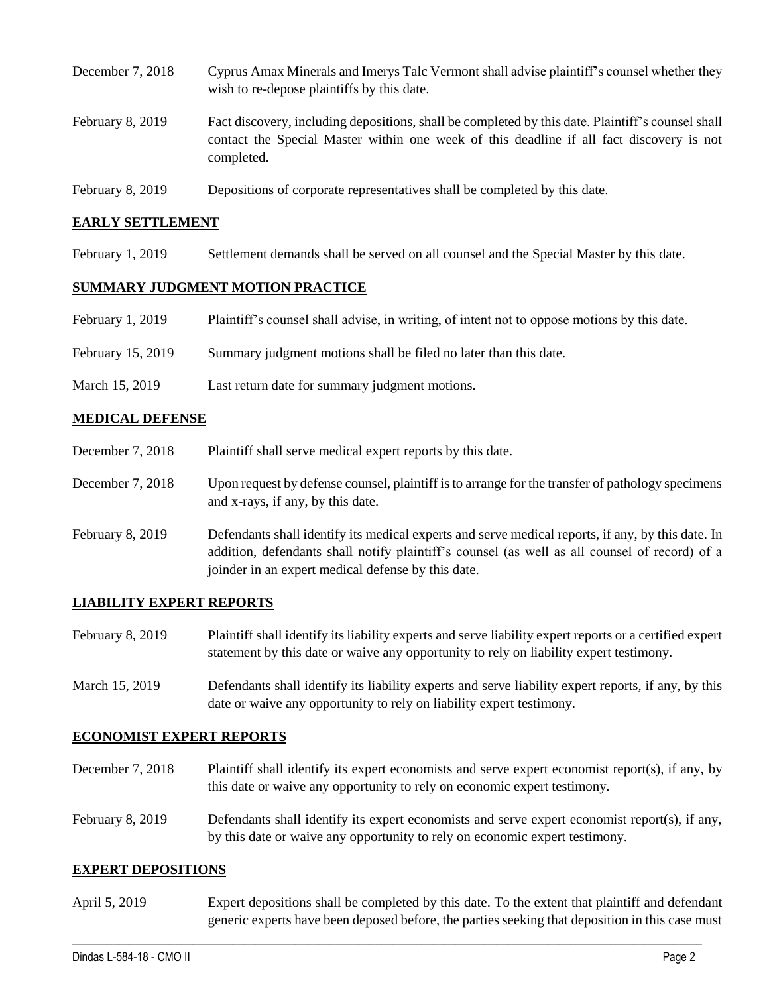- December 7, 2018 Cyprus Amax Minerals and Imerys Talc Vermont shall advise plaintiff's counsel whether they wish to re-depose plaintiffs by this date. February 8, 2019 Fact discovery, including depositions, shall be completed by this date. Plaintiff's counsel shall contact the Special Master within one week of this deadline if all fact discovery is not completed.
- February 8, 2019 Depositions of corporate representatives shall be completed by this date.

### **EARLY SETTLEMENT**

February 1, 2019 Settlement demands shall be served on all counsel and the Special Master by this date.

### **SUMMARY JUDGMENT MOTION PRACTICE**

- February 1, 2019 Plaintiff's counsel shall advise, in writing, of intent not to oppose motions by this date.
- February 15, 2019 Summary judgment motions shall be filed no later than this date.
- March 15, 2019 Last return date for summary judgment motions.

### **MEDICAL DEFENSE**

- December 7, 2018 Plaintiff shall serve medical expert reports by this date.
- December 7, 2018 Upon request by defense counsel, plaintiff is to arrange for the transfer of pathology specimens and x-rays, if any, by this date.
- February 8, 2019 Defendants shall identify its medical experts and serve medical reports, if any, by this date. In addition, defendants shall notify plaintiff's counsel (as well as all counsel of record) of a joinder in an expert medical defense by this date.

#### **LIABILITY EXPERT REPORTS**

- February 8, 2019 Plaintiff shall identify its liability experts and serve liability expert reports or a certified expert statement by this date or waive any opportunity to rely on liability expert testimony.
- March 15, 2019 Defendants shall identify its liability experts and serve liability expert reports, if any, by this date or waive any opportunity to rely on liability expert testimony.

#### **ECONOMIST EXPERT REPORTS**

- December 7, 2018 Plaintiff shall identify its expert economists and serve expert economist report(s), if any, by this date or waive any opportunity to rely on economic expert testimony.
- February 8, 2019 Defendants shall identify its expert economists and serve expert economist report(s), if any, by this date or waive any opportunity to rely on economic expert testimony.

#### **EXPERT DEPOSITIONS**

April 5, 2019 Expert depositions shall be completed by this date. To the extent that plaintiff and defendant generic experts have been deposed before, the parties seeking that deposition in this case must

 $\_$  ,  $\_$  ,  $\_$  ,  $\_$  ,  $\_$  ,  $\_$  ,  $\_$  ,  $\_$  ,  $\_$  ,  $\_$  ,  $\_$  ,  $\_$  ,  $\_$  ,  $\_$  ,  $\_$  ,  $\_$  ,  $\_$  ,  $\_$  ,  $\_$  ,  $\_$  ,  $\_$  ,  $\_$  ,  $\_$  ,  $\_$  ,  $\_$  ,  $\_$  ,  $\_$  ,  $\_$  ,  $\_$  ,  $\_$  ,  $\_$  ,  $\_$  ,  $\_$  ,  $\_$  ,  $\_$  ,  $\_$  ,  $\_$  ,